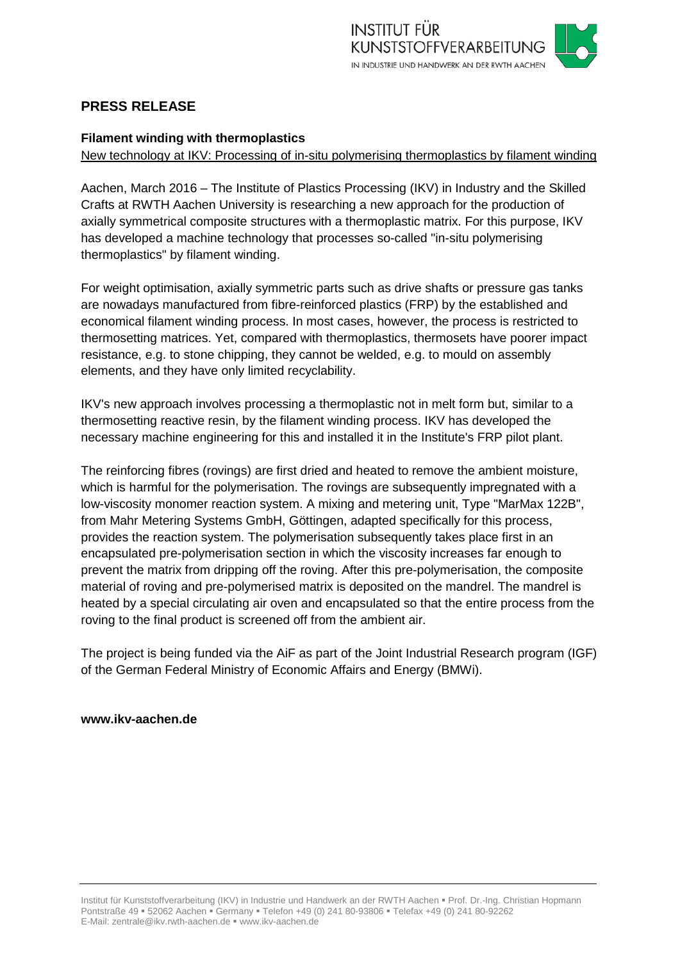

# **PRESS RELEASE**

## **Filament winding with thermoplastics**

New technology at IKV: Processing of in-situ polymerising thermoplastics by filament winding

Aachen, March 2016 – The Institute of Plastics Processing (IKV) in Industry and the Skilled Crafts at RWTH Aachen University is researching a new approach for the production of axially symmetrical composite structures with a thermoplastic matrix. For this purpose, IKV has developed a machine technology that processes so-called "in-situ polymerising thermoplastics" by filament winding.

For weight optimisation, axially symmetric parts such as drive shafts or pressure gas tanks are nowadays manufactured from fibre-reinforced plastics (FRP) by the established and economical filament winding process. In most cases, however, the process is restricted to thermosetting matrices. Yet, compared with thermoplastics, thermosets have poorer impact resistance, e.g. to stone chipping, they cannot be welded, e.g. to mould on assembly elements, and they have only limited recyclability.

IKV's new approach involves processing a thermoplastic not in melt form but, similar to a thermosetting reactive resin, by the filament winding process. IKV has developed the necessary machine engineering for this and installed it in the Institute's FRP pilot plant.

The reinforcing fibres (rovings) are first dried and heated to remove the ambient moisture, which is harmful for the polymerisation. The rovings are subsequently impregnated with a low-viscosity monomer reaction system. A mixing and metering unit, Type "MarMax 122B", from Mahr Metering Systems GmbH, Göttingen, adapted specifically for this process, provides the reaction system. The polymerisation subsequently takes place first in an encapsulated pre-polymerisation section in which the viscosity increases far enough to prevent the matrix from dripping off the roving. After this pre-polymerisation, the composite material of roving and pre-polymerised matrix is deposited on the mandrel. The mandrel is heated by a special circulating air oven and encapsulated so that the entire process from the roving to the final product is screened off from the ambient air.

The project is being funded via the AiF as part of the Joint Industrial Research program (IGF) of the German Federal Ministry of Economic Affairs and Energy (BMWi).

### **www.ikv-aachen.de**